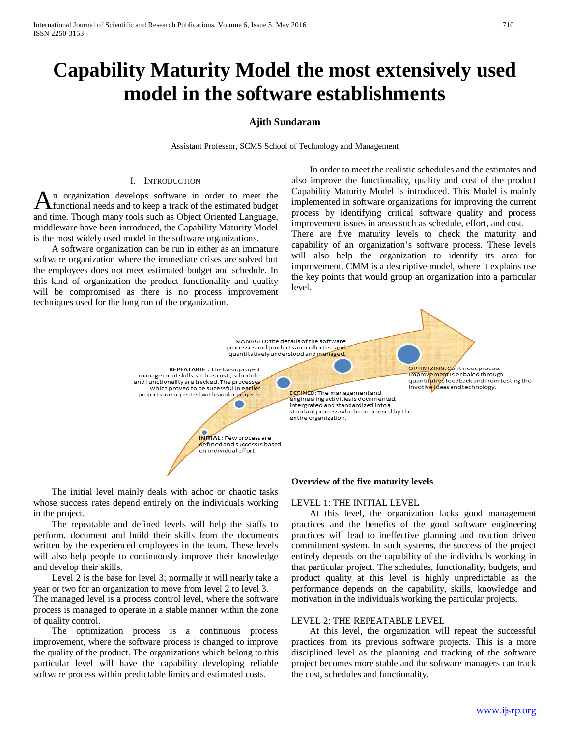# **Capability Maturity Model the most extensively used model in the software establishments**

# **Ajith Sundaram**

Assistant Professor, SCMS School of Technology and Management

### I. INTRODUCTION

n organization develops software in order to meet the functional needs and to keep a track of the estimated budget An organization develops software in order to meet the functional needs and to keep a track of the estimated budget and time. Though many tools such as Object Oriented Language, middleware have been introduced, the Capability Maturity Model is the most widely used model in the software organizations.

 A software organization can be run in either as an immature software organization where the immediate crises are solved but the employees does not meet estimated budget and schedule. In this kind of organization the product functionality and quality will be compromised as there is no process improvement techniques used for the long run of the organization.

 In order to meet the realistic schedules and the estimates and also improve the functionality, quality and cost of the product Capability Maturity Model is introduced. This Model is mainly implemented in software organizations for improving the current process by identifying critical software quality and process improvement issues in areas such as schedule, effort, and cost.

There are five maturity levels to check the maturity and capability of an organization's software process. These levels will also help the organization to identify its area for improvement. CMM is a descriptive model, where it explains use the key points that would group an organization into a particular level.

MANAGED: the details of the software processes and products are collected and quantitatively understood and managed. OPTIMIZING: Continous process **REPEATABLE:** The basic project Tmprovement is enbaled through<br>quantitative feedback and from testing the management skills such as cost, schedule and functionality are tracked. The processe invotive ideas and technology. which proved to be sucessful in earlier **DEFINED:** The management and projects are repeated with similar projects engineering activities is documented, intergrated and standardized into a standard process which can be used by the entire organization. **INITIAL**: Few process are defined and success is based on individual effort

 The initial level mainly deals with adhoc or chaotic tasks whose success rates depend entirely on the individuals working in the project.

 The repeatable and defined levels will help the staffs to perform, document and build their skills from the documents written by the experienced employees in the team. These levels will also help people to continuously improve their knowledge and develop their skills.

 Level 2 is the base for level 3; normally it will nearly take a year or two for an organization to move from level 2 to level 3.

The managed level is a process control level, where the software process is managed to operate in a stable manner within the zone of quality control.

 The optimization process is a continuous process improvement, where the software process is changed to improve the quality of the product. The organizations which belong to this particular level will have the capability developing reliable software process within predictable limits and estimated costs.

### **Overview of the five maturity levels**

### LEVEL 1: THE INITIAL LEVEL

 At this level, the organization lacks good management practices and the benefits of the good software engineering practices will lead to ineffective planning and reaction driven commitment system. In such systems, the success of the project entirely depends on the capability of the individuals working in that particular project. The schedules, functionality, budgets, and product quality at this level is highly unpredictable as the performance depends on the capability, skills, knowledge and motivation in the individuals working the particular projects.

## LEVEL 2: THE REPEATABLE LEVEL

 At this level, the organization will repeat the successful practices from its previous software projects. This is a more disciplined level as the planning and tracking of the software project becomes more stable and the software managers can track the cost, schedules and functionality.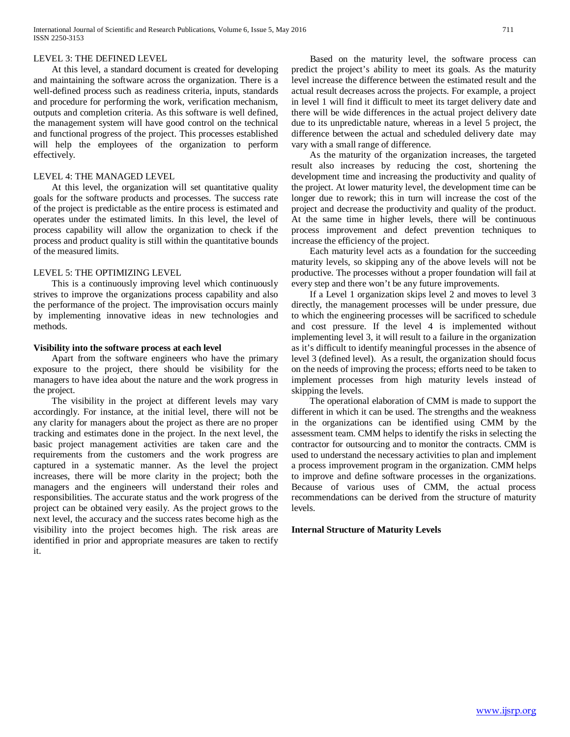## LEVEL 3: THE DEFINED LEVEL

 At this level, a standard document is created for developing and maintaining the software across the organization. There is a well-defined process such as readiness criteria, inputs, standards and procedure for performing the work, verification mechanism, outputs and completion criteria. As this software is well defined, the management system will have good control on the technical and functional progress of the project. This processes established will help the employees of the organization to perform effectively.

## LEVEL 4: THE MANAGED LEVEL

 At this level, the organization will set quantitative quality goals for the software products and processes. The success rate of the project is predictable as the entire process is estimated and operates under the estimated limits. In this level, the level of process capability will allow the organization to check if the process and product quality is still within the quantitative bounds of the measured limits.

# LEVEL 5: THE OPTIMIZING LEVEL

 This is a continuously improving level which continuously strives to improve the organizations process capability and also the performance of the project. The improvisation occurs mainly by implementing innovative ideas in new technologies and methods.

# **Visibility into the software process at each level**

 Apart from the software engineers who have the primary exposure to the project, there should be visibility for the managers to have idea about the nature and the work progress in the project.

 The visibility in the project at different levels may vary accordingly. For instance, at the initial level, there will not be any clarity for managers about the project as there are no proper tracking and estimates done in the project. In the next level, the basic project management activities are taken care and the requirements from the customers and the work progress are captured in a systematic manner. As the level the project increases, there will be more clarity in the project; both the managers and the engineers will understand their roles and responsibilities. The accurate status and the work progress of the project can be obtained very easily. As the project grows to the next level, the accuracy and the success rates become high as the visibility into the project becomes high. The risk areas are identified in prior and appropriate measures are taken to rectify it.

 Based on the maturity level, the software process can predict the project's ability to meet its goals. As the maturity level increase the difference between the estimated result and the actual result decreases across the projects. For example, a project in level 1 will find it difficult to meet its target delivery date and there will be wide differences in the actual project delivery date due to its unpredictable nature, whereas in a level 5 project, the difference between the actual and scheduled delivery date may vary with a small range of difference.

 As the maturity of the organization increases, the targeted result also increases by reducing the cost, shortening the development time and increasing the productivity and quality of the project. At lower maturity level, the development time can be longer due to rework; this in turn will increase the cost of the project and decrease the productivity and quality of the product. At the same time in higher levels, there will be continuous process improvement and defect prevention techniques to increase the efficiency of the project.

 Each maturity level acts as a foundation for the succeeding maturity levels, so skipping any of the above levels will not be productive. The processes without a proper foundation will fail at every step and there won't be any future improvements.

 If a Level 1 organization skips level 2 and moves to level 3 directly, the management processes will be under pressure, due to which the engineering processes will be sacrificed to schedule and cost pressure. If the level 4 is implemented without implementing level 3, it will result to a failure in the organization as it's difficult to identify meaningful processes in the absence of level 3 (defined level). As a result, the organization should focus on the needs of improving the process; efforts need to be taken to implement processes from high maturity levels instead of skipping the levels.

 The operational elaboration of CMM is made to support the different in which it can be used. The strengths and the weakness in the organizations can be identified using CMM by the assessment team. CMM helps to identify the risks in selecting the contractor for outsourcing and to monitor the contracts. CMM is used to understand the necessary activities to plan and implement a process improvement program in the organization. CMM helps to improve and define software processes in the organizations. Because of various uses of CMM, the actual process recommendations can be derived from the structure of maturity levels.

# **Internal Structure of Maturity Levels**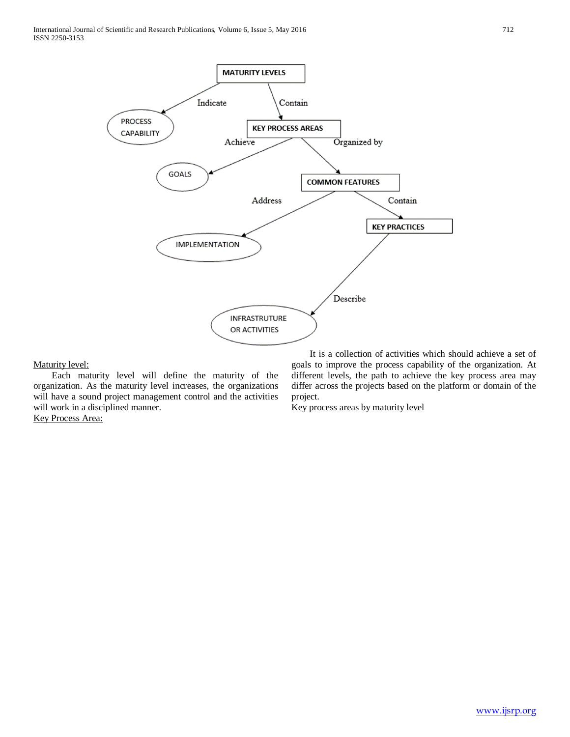

# Maturity level:

 Each maturity level will define the maturity of the organization. As the maturity level increases, the organizations will have a sound project management control and the activities will work in a disciplined manner. Key Process Area:

 It is a collection of activities which should achieve a set of goals to improve the process capability of the organization. At different levels, the path to achieve the key process area may differ across the projects based on the platform or domain of the project.

Key process areas by maturity level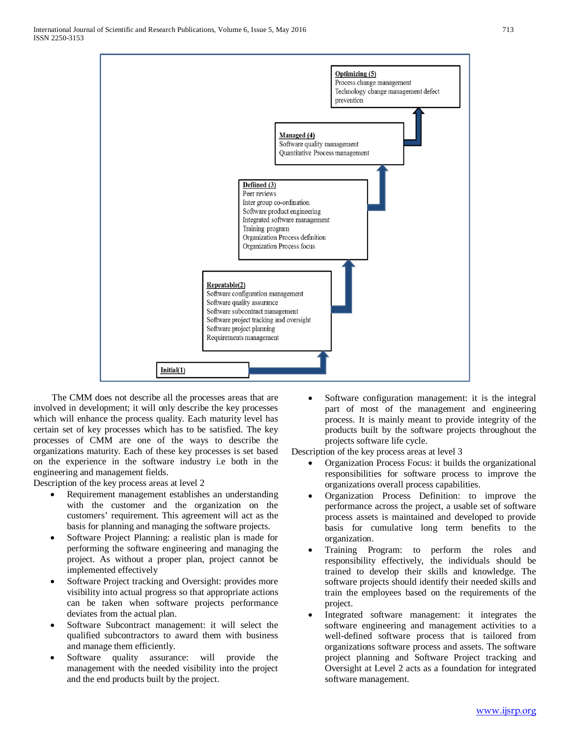

 The CMM does not describe all the processes areas that are involved in development; it will only describe the key processes which will enhance the process quality. Each maturity level has certain set of key processes which has to be satisfied. The key processes of CMM are one of the ways to describe the organizations maturity. Each of these key processes is set based on the experience in the software industry i.e both in the engineering and management fields.

Description of the key process areas at level 2

- Requirement management establishes an understanding with the customer and the organization on the customers' requirement. This agreement will act as the basis for planning and managing the software projects.
- Software Project Planning: a realistic plan is made for performing the software engineering and managing the project. As without a proper plan, project cannot be implemented effectively
- Software Project tracking and Oversight: provides more visibility into actual progress so that appropriate actions can be taken when software projects performance deviates from the actual plan.
- Software Subcontract management: it will select the qualified subcontractors to award them with business and manage them efficiently.
- Software quality assurance: will provide the management with the needed visibility into the project and the end products built by the project.

Software configuration management: it is the integral part of most of the management and engineering process. It is mainly meant to provide integrity of the products built by the software projects throughout the projects software life cycle.

Description of the key process areas at level 3

- Organization Process Focus: it builds the organizational responsibilities for software process to improve the organizations overall process capabilities.
- Organization Process Definition: to improve the performance across the project, a usable set of software process assets is maintained and developed to provide basis for cumulative long term benefits to the organization.
- Training Program: to perform the roles and responsibility effectively, the individuals should be trained to develop their skills and knowledge. The software projects should identify their needed skills and train the employees based on the requirements of the project.
- Integrated software management: it integrates the software engineering and management activities to a well-defined software process that is tailored from organizations software process and assets. The software project planning and Software Project tracking and Oversight at Level 2 acts as a foundation for integrated software management.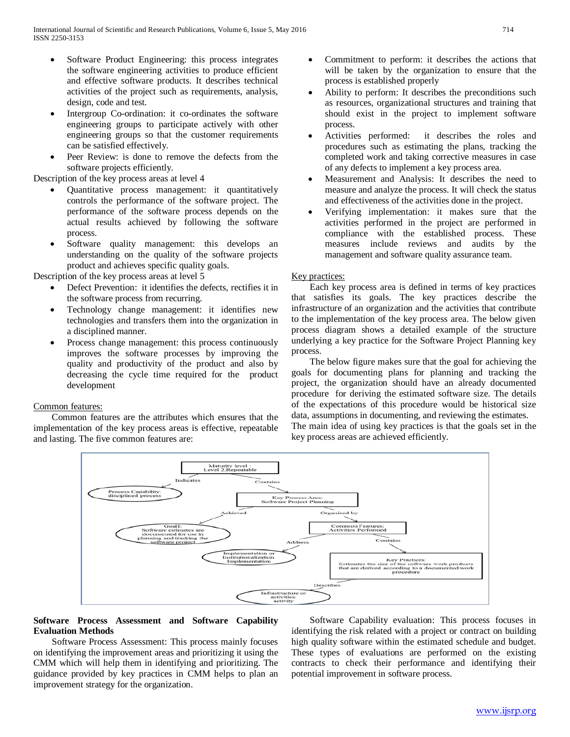- Software Product Engineering: this process integrates the software engineering activities to produce efficient and effective software products. It describes technical activities of the project such as requirements, analysis, design, code and test.
- Intergroup Co-ordination: it co-ordinates the software engineering groups to participate actively with other engineering groups so that the customer requirements can be satisfied effectively.
- Peer Review: is done to remove the defects from the software projects efficiently.

Description of the key process areas at level 4

- Quantitative process management: it quantitatively controls the performance of the software project. The performance of the software process depends on the actual results achieved by following the software process.
- Software quality management: this develops an understanding on the quality of the software projects product and achieves specific quality goals.

Description of the key process areas at level 5

- Defect Prevention: it identifies the defects, rectifies it in the software process from recurring.
- Technology change management: it identifies new technologies and transfers them into the organization in a disciplined manner.
- Process change management: this process continuously improves the software processes by improving the quality and productivity of the product and also by decreasing the cycle time required for the product development

# Common features:

 Common features are the attributes which ensures that the implementation of the key process areas is effective, repeatable and lasting. The five common features are:

- Commitment to perform: it describes the actions that will be taken by the organization to ensure that the process is established properly
- Ability to perform: It describes the preconditions such as resources, organizational structures and training that should exist in the project to implement software process.
- Activities performed: it describes the roles and procedures such as estimating the plans, tracking the completed work and taking corrective measures in case of any defects to implement a key process area.
- Measurement and Analysis: It describes the need to measure and analyze the process. It will check the status and effectiveness of the activities done in the project.
- Verifying implementation: it makes sure that the activities performed in the project are performed in compliance with the established process. These measures include reviews and audits by the management and software quality assurance team.

# Key practices:

 Each key process area is defined in terms of key practices that satisfies its goals. The key practices describe the infrastructure of an organization and the activities that contribute to the implementation of the key process area. The below given process diagram shows a detailed example of the structure underlying a key practice for the Software Project Planning key process.

 The below figure makes sure that the goal for achieving the goals for documenting plans for planning and tracking the project, the organization should have an already documented procedure for deriving the estimated software size. The details of the expectations of this procedure would be historical size data, assumptions in documenting, and reviewing the estimates.

The main idea of using key practices is that the goals set in the key process areas are achieved efficiently.



# **Software Process Assessment and Software Capability Evaluation Methods**

 Software Process Assessment: This process mainly focuses on identifying the improvement areas and prioritizing it using the CMM which will help them in identifying and prioritizing. The guidance provided by key practices in CMM helps to plan an improvement strategy for the organization.

 Software Capability evaluation: This process focuses in identifying the risk related with a project or contract on building high quality software within the estimated schedule and budget. These types of evaluations are performed on the existing contracts to check their performance and identifying their potential improvement in software process.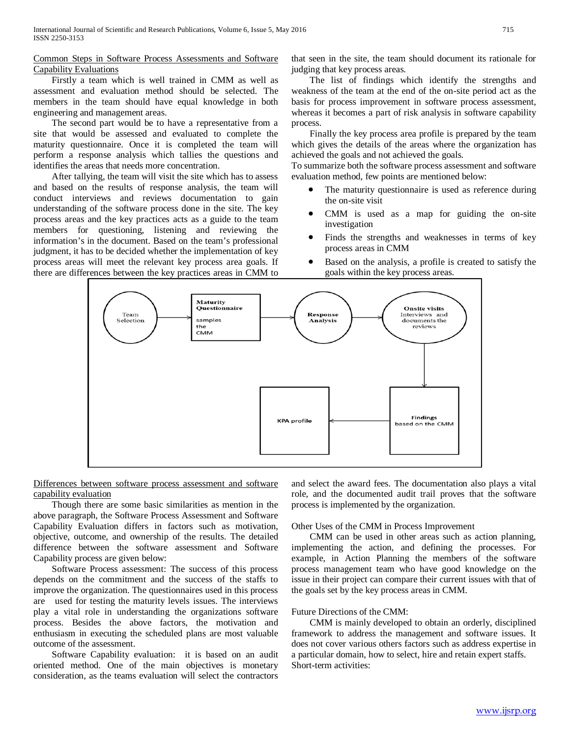# Common Steps in Software Process Assessments and Software Capability Evaluations

 Firstly a team which is well trained in CMM as well as assessment and evaluation method should be selected. The members in the team should have equal knowledge in both engineering and management areas.

 The second part would be to have a representative from a site that would be assessed and evaluated to complete the maturity questionnaire. Once it is completed the team will perform a response analysis which tallies the questions and identifies the areas that needs more concentration.

 After tallying, the team will visit the site which has to assess and based on the results of response analysis, the team will conduct interviews and reviews documentation to gain understanding of the software process done in the site. The key process areas and the key practices acts as a guide to the team members for questioning, listening and reviewing the information's in the document. Based on the team's professional judgment, it has to be decided whether the implementation of key process areas will meet the relevant key process area goals. If there are differences between the key practices areas in CMM to that seen in the site, the team should document its rationale for judging that key process areas.

 The list of findings which identify the strengths and weakness of the team at the end of the on-site period act as the basis for process improvement in software process assessment, whereas it becomes a part of risk analysis in software capability process.

 Finally the key process area profile is prepared by the team which gives the details of the areas where the organization has achieved the goals and not achieved the goals.

To summarize both the software process assessment and software evaluation method, few points are mentioned below:

- The maturity questionnaire is used as reference during the on-site visit
- CMM is used as a map for guiding the on-site investigation
- Finds the strengths and weaknesses in terms of key process areas in CMM
- Based on the analysis, a profile is created to satisfy the goals within the key process areas.



Differences between software process assessment and software capability evaluation

 Though there are some basic similarities as mention in the above paragraph, the Software Process Assessment and Software Capability Evaluation differs in factors such as motivation, objective, outcome, and ownership of the results. The detailed difference between the software assessment and Software Capability process are given below:

 Software Process assessment: The success of this process depends on the commitment and the success of the staffs to improve the organization. The questionnaires used in this process are used for testing the maturity levels issues. The interviews play a vital role in understanding the organizations software process. Besides the above factors, the motivation and enthusiasm in executing the scheduled plans are most valuable outcome of the assessment.

 Software Capability evaluation: it is based on an audit oriented method. One of the main objectives is monetary consideration, as the teams evaluation will select the contractors

and select the award fees. The documentation also plays a vital role, and the documented audit trail proves that the software process is implemented by the organization.

# Other Uses of the CMM in Process Improvement

 CMM can be used in other areas such as action planning, implementing the action, and defining the processes. For example, in Action Planning the members of the software process management team who have good knowledge on the issue in their project can compare their current issues with that of the goals set by the key process areas in CMM.

# Future Directions of the CMM:

 CMM is mainly developed to obtain an orderly, disciplined framework to address the management and software issues. It does not cover various others factors such as address expertise in a particular domain, how to select, hire and retain expert staffs. Short-term activities: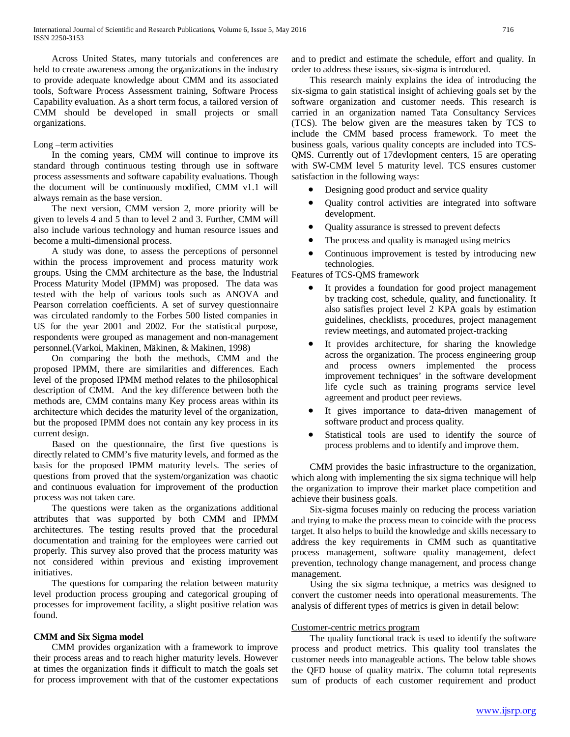Across United States, many tutorials and conferences are held to create awareness among the organizations in the industry to provide adequate knowledge about CMM and its associated tools, Software Process Assessment training, Software Process Capability evaluation. As a short term focus, a tailored version of CMM should be developed in small projects or small organizations.

## Long –term activities

 In the coming years, CMM will continue to improve its standard through continuous testing through use in software process assessments and software capability evaluations. Though the document will be continuously modified, CMM v1.1 will always remain as the base version.

 The next version, CMM version 2, more priority will be given to levels 4 and 5 than to level 2 and 3. Further, CMM will also include various technology and human resource issues and become a multi-dimensional process.

 A study was done, to assess the perceptions of personnel within the process improvement and process maturity work groups. Using the CMM architecture as the base, the Industrial Process Maturity Model (IPMM) was proposed. The data was tested with the help of various tools such as ANOVA and Pearson correlation coefficients. A set of survey questionnaire was circulated randomly to the Forbes 500 listed companies in US for the year 2001 and 2002. For the statistical purpose, respondents were grouped as management and non-management personnel.(Varkoi, Makinen, Mäkinen, & Makinen, 1998)

 On comparing the both the methods, CMM and the proposed IPMM, there are similarities and differences. Each level of the proposed IPMM method relates to the philosophical description of CMM. And the key difference between both the methods are, CMM contains many Key process areas within its architecture which decides the maturity level of the organization, but the proposed IPMM does not contain any key process in its current design.

 Based on the questionnaire, the first five questions is directly related to CMM's five maturity levels, and formed as the basis for the proposed IPMM maturity levels. The series of questions from proved that the system/organization was chaotic and continuous evaluation for improvement of the production process was not taken care.

 The questions were taken as the organizations additional attributes that was supported by both CMM and IPMM architectures. The testing results proved that the procedural documentation and training for the employees were carried out properly. This survey also proved that the process maturity was not considered within previous and existing improvement initiatives.

 The questions for comparing the relation between maturity level production process grouping and categorical grouping of processes for improvement facility, a slight positive relation was found.

# **CMM and Six Sigma model**

 CMM provides organization with a framework to improve their process areas and to reach higher maturity levels. However at times the organization finds it difficult to match the goals set for process improvement with that of the customer expectations and to predict and estimate the schedule, effort and quality. In order to address these issues, six-sigma is introduced.

 This research mainly explains the idea of introducing the six-sigma to gain statistical insight of achieving goals set by the software organization and customer needs. This research is carried in an organization named Tata Consultancy Services (TCS). The below given are the measures taken by TCS to include the CMM based process framework. To meet the business goals, various quality concepts are included into TCS-QMS. Currently out of 17devlopment centers, 15 are operating with SW-CMM level 5 maturity level. TCS ensures customer satisfaction in the following ways:

- Designing good product and service quality
- Quality control activities are integrated into software development.
- Quality assurance is stressed to prevent defects
- The process and quality is managed using metrics
- Continuous improvement is tested by introducing new technologies.

Features of TCS-QMS framework

- It provides a foundation for good project management by tracking cost, schedule, quality, and functionality. It also satisfies project level 2 KPA goals by estimation guidelines, checklists, procedures, project management review meetings, and automated project-tracking
- It provides architecture, for sharing the knowledge across the organization. The process engineering group and process owners implemented the process improvement techniques' in the software development life cycle such as training programs service level agreement and product peer reviews.
- It gives importance to data-driven management of software product and process quality.
- Statistical tools are used to identify the source of process problems and to identify and improve them.

 CMM provides the basic infrastructure to the organization, which along with implementing the six sigma technique will help the organization to improve their market place competition and achieve their business goals.

 Six-sigma focuses mainly on reducing the process variation and trying to make the process mean to coincide with the process target. It also helps to build the knowledge and skills necessary to address the key requirements in CMM such as quantitative process management, software quality management, defect prevention, technology change management, and process change management.

 Using the six sigma technique, a metrics was designed to convert the customer needs into operational measurements. The analysis of different types of metrics is given in detail below:

# Customer-centric metrics program

 The quality functional track is used to identify the software process and product metrics. This quality tool translates the customer needs into manageable actions. The below table shows the QFD house of quality matrix. The column total represents sum of products of each customer requirement and product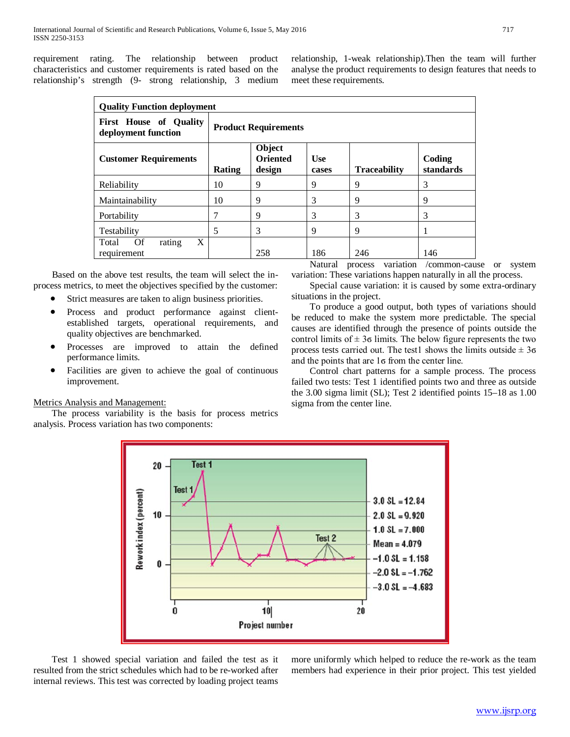requirement rating. The relationship between product characteristics and customer requirements is rated based on the relationship's strength (9- strong relationship, 3 medium relationship, 1-weak relationship).Then the team will further analyse the product requirements to design features that needs to meet these requirements.

| <b>Quality Function deployment</b>                   |                             |                                     |                     |                     |                     |
|------------------------------------------------------|-----------------------------|-------------------------------------|---------------------|---------------------|---------------------|
| <b>First House of Quality</b><br>deployment function | <b>Product Requirements</b> |                                     |                     |                     |                     |
| <b>Customer Requirements</b>                         | <b>Rating</b>               | Object<br><b>Oriented</b><br>design | <b>Use</b><br>cases | <b>Traceability</b> | Coding<br>standards |
| Reliability                                          | 10                          | 9                                   | 9                   | 9                   | 3                   |
| Maintainability                                      | 10                          | 9                                   | 3                   | 9                   | 9                   |
| Portability                                          |                             | 9                                   | 3                   | 3                   | 3                   |
| Testability                                          | 5                           | 3                                   | 9                   | 9                   |                     |
| X<br><b>Of</b><br>Total<br>rating<br>requirement     |                             | 258                                 | 186                 | 246                 | 146                 |

 Based on the above test results, the team will select the inprocess metrics, to meet the objectives specified by the customer:

- Strict measures are taken to align business priorities.
- Process and product performance against clientestablished targets, operational requirements, and quality objectives are benchmarked.
- Processes are improved to attain the defined performance limits.
- Facilities are given to achieve the goal of continuous improvement.

## Metrics Analysis and Management:

 The process variability is the basis for process metrics analysis. Process variation has two components:

 Natural process variation /common-cause or system variation: These variations happen naturally in all the process.

 Special cause variation: it is caused by some extra-ordinary situations in the project.

 To produce a good output, both types of variations should be reduced to make the system more predictable. The special causes are identified through the presence of points outside the control limits of  $\pm$  3 $\sigma$  limits. The below figure represents the two process tests carried out. The test1 shows the limits outside  $\pm 3\sigma$ and the points that are 1ϭ from the center line.

 Control chart patterns for a sample process. The process failed two tests: Test 1 identified points two and three as outside the 3.00 sigma limit (SL); Test 2 identified points 15–18 as 1.00 sigma from the center line.



 Test 1 showed special variation and failed the test as it resulted from the strict schedules which had to be re-worked after internal reviews. This test was corrected by loading project teams

more uniformly which helped to reduce the re-work as the team members had experience in their prior project. This test yielded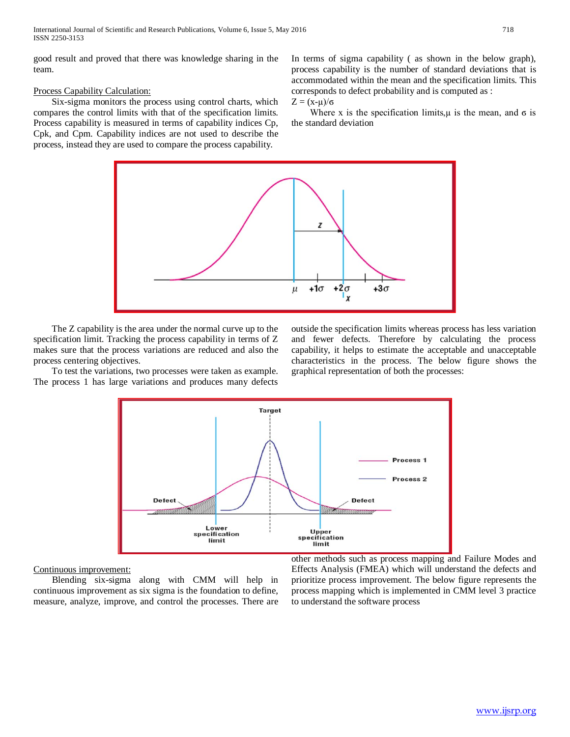good result and proved that there was knowledge sharing in the team.

# Process Capability Calculation:

 Six-sigma monitors the process using control charts, which compares the control limits with that of the specification limits. Process capability is measured in terms of capability indices Cp, Cpk, and Cpm. Capability indices are not used to describe the process, instead they are used to compare the process capability.

In terms of sigma capability ( as shown in the below graph), process capability is the number of standard deviations that is accommodated within the mean and the specification limits. This corresponds to defect probability and is computed as :

 $Z = (x-μ)/σ$ 

Where x is the specification limits,  $\mu$  is the mean, and  $\sigma$  is the standard deviation



 The Z capability is the area under the normal curve up to the specification limit. Tracking the process capability in terms of Z makes sure that the process variations are reduced and also the process centering objectives.

 To test the variations, two processes were taken as example. The process 1 has large variations and produces many defects

outside the specification limits whereas process has less variation and fewer defects. Therefore by calculating the process capability, it helps to estimate the acceptable and unacceptable characteristics in the process. The below figure shows the graphical representation of both the processes:



Continuous improvement:

 Blending six-sigma along with CMM will help in continuous improvement as six sigma is the foundation to define, measure, analyze, improve, and control the processes. There are other methods such as process mapping and Failure Modes and Effects Analysis (FMEA) which will understand the defects and prioritize process improvement. The below figure represents the process mapping which is implemented in CMM level 3 practice to understand the software process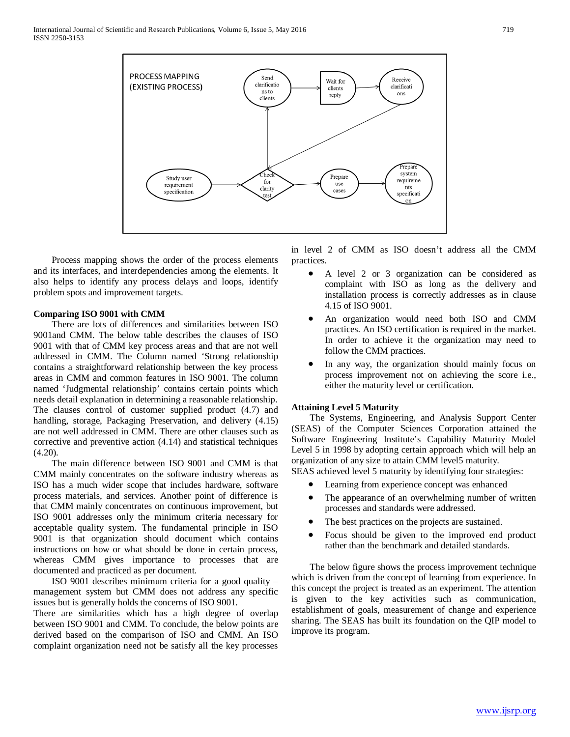

 Process mapping shows the order of the process elements and its interfaces, and interdependencies among the elements. It also helps to identify any process delays and loops, identify problem spots and improvement targets.

## **Comparing ISO 9001 with CMM**

 There are lots of differences and similarities between ISO 9001and CMM. The below table describes the clauses of ISO 9001 with that of CMM key process areas and that are not well addressed in CMM. The Column named 'Strong relationship contains a straightforward relationship between the key process areas in CMM and common features in ISO 9001. The column named 'Judgmental relationship' contains certain points which needs detail explanation in determining a reasonable relationship. The clauses control of customer supplied product (4.7) and handling, storage, Packaging Preservation, and delivery (4.15) are not well addressed in CMM. There are other clauses such as corrective and preventive action (4.14) and statistical techniques (4.20).

 The main difference between ISO 9001 and CMM is that CMM mainly concentrates on the software industry whereas as ISO has a much wider scope that includes hardware, software process materials, and services. Another point of difference is that CMM mainly concentrates on continuous improvement, but ISO 9001 addresses only the minimum criteria necessary for acceptable quality system. The fundamental principle in ISO 9001 is that organization should document which contains instructions on how or what should be done in certain process, whereas CMM gives importance to processes that are documented and practiced as per document.

 ISO 9001 describes minimum criteria for a good quality – management system but CMM does not address any specific issues but is generally holds the concerns of ISO 9001.

There are similarities which has a high degree of overlap between ISO 9001 and CMM. To conclude, the below points are derived based on the comparison of ISO and CMM. An ISO complaint organization need not be satisfy all the key processes

in level 2 of CMM as ISO doesn't address all the CMM practices.

- A level 2 or 3 organization can be considered as complaint with ISO as long as the delivery and installation process is correctly addresses as in clause 4.15 of ISO 9001.
- An organization would need both ISO and CMM practices. An ISO certification is required in the market. In order to achieve it the organization may need to follow the CMM practices.
- In any way, the organization should mainly focus on process improvement not on achieving the score i.e., either the maturity level or certification.

## **Attaining Level 5 Maturity**

 The Systems, Engineering, and Analysis Support Center (SEAS) of the Computer Sciences Corporation attained the Software Engineering Institute's Capability Maturity Model Level 5 in 1998 by adopting certain approach which will help an organization of any size to attain CMM level5 maturity.

SEAS achieved level 5 maturity by identifying four strategies:

- Learning from experience concept was enhanced
- The appearance of an overwhelming number of written processes and standards were addressed.
- The best practices on the projects are sustained.
- Focus should be given to the improved end product rather than the benchmark and detailed standards.

 The below figure shows the process improvement technique which is driven from the concept of learning from experience. In this concept the project is treated as an experiment. The attention is given to the key activities such as communication, establishment of goals, measurement of change and experience sharing. The SEAS has built its foundation on the QIP model to improve its program.